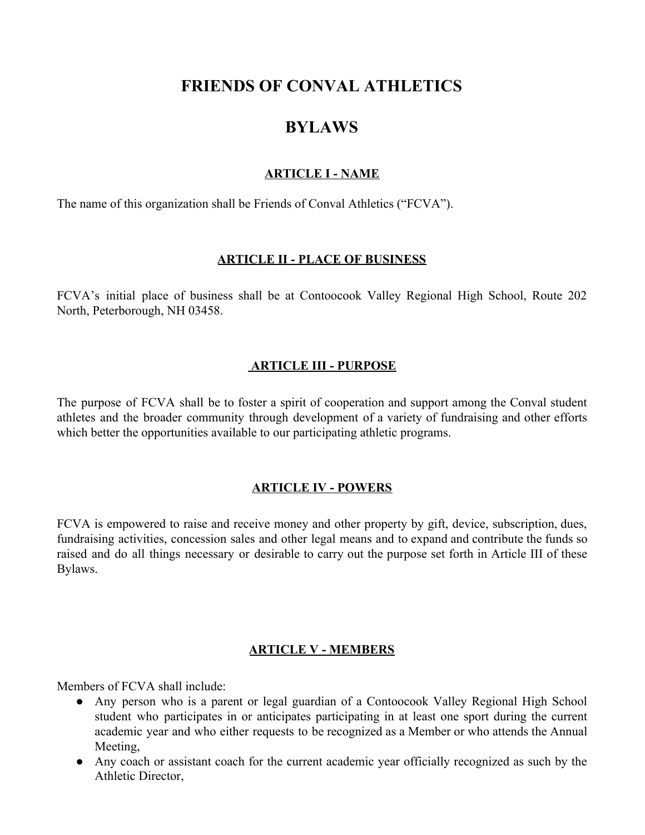# **FRIENDS OF CONVAL ATHLETICS**

# **BYLAWS**

### **ARTICLE I - NAME**

The name of this organization shall be Friends of Conval Athletics ("FCVA").

### **ARTICLE II - PLACE OF BUSINESS**

FCVA's initial place of business shall be at Contoocook Valley Regional High School, Route 202 North, Peterborough, NH 03458.

### **ARTICLE III - PURPOSE**

The purpose of FCVA shall be to foster a spirit of cooperation and support among the Conval student athletes and the broader community through development of a variety of fundraising and other efforts which better the opportunities available to our participating athletic programs.

### **ARTICLE IV - POWERS**

FCVA is empowered to raise and receive money and other property by gift, device, subscription, dues, fundraising activities, concession sales and other legal means and to expand and contribute the funds so raised and do all things necessary or desirable to carry out the purpose set forth in Article III of these Bylaws.

# **ARTICLE V - MEMBERS**

Members of FCVA shall include:

- Any person who is a parent or legal guardian of a Contoocook Valley Regional High School student who participates in or anticipates participating in at least one sport during the current academic year and who either requests to be recognized as a Member or who attends the Annual Meeting,
- Any coach or assistant coach for the current academic year officially recognized as such by the Athletic Director,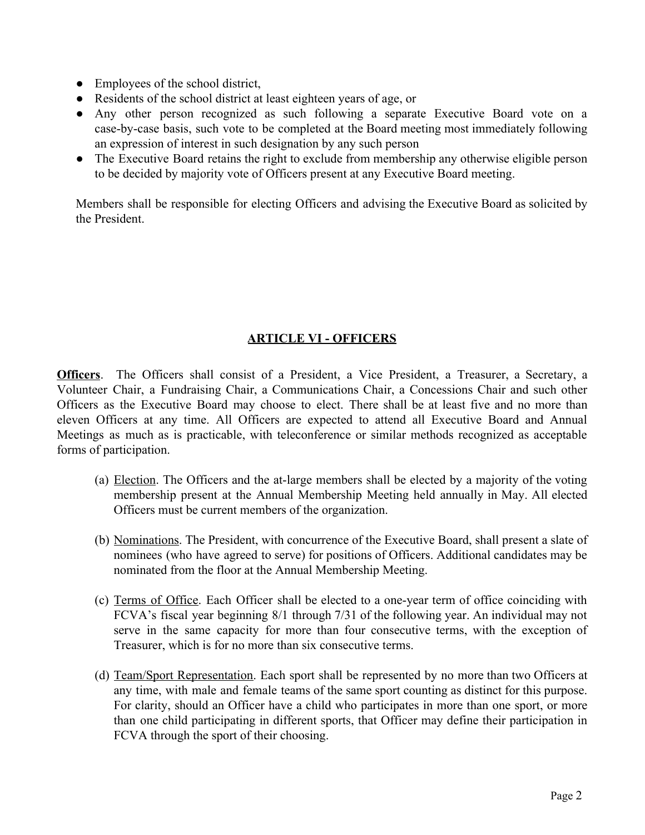- Employees of the school district,
- Residents of the school district at least eighteen years of age, or
- Any other person recognized as such following a separate Executive Board vote on a case-by-case basis, such vote to be completed at the Board meeting most immediately following an expression of interest in such designation by any such person
- The Executive Board retains the right to exclude from membership any otherwise eligible person to be decided by majority vote of Officers present at any Executive Board meeting.

Members shall be responsible for electing Officers and advising the Executive Board as solicited by the President.

# **ARTICLE VI - OFFICERS**

**Officers**. The Officers shall consist of a President, a Vice President, a Treasurer, a Secretary, a Volunteer Chair, a Fundraising Chair, a Communications Chair, a Concessions Chair and such other Officers as the Executive Board may choose to elect. There shall be at least five and no more than eleven Officers at any time. All Officers are expected to attend all Executive Board and Annual Meetings as much as is practicable, with teleconference or similar methods recognized as acceptable forms of participation.

- (a) Election. The Officers and the at-large members shall be elected by a majority of the voting membership present at the Annual Membership Meeting held annually in May. All elected Officers must be current members of the organization.
- (b) Nominations. The President, with concurrence of the Executive Board, shall present a slate of nominees (who have agreed to serve) for positions of Officers. Additional candidates may be nominated from the floor at the Annual Membership Meeting.
- (c) Terms of Office. Each Officer shall be elected to a one-year term of office coinciding with FCVA's fiscal year beginning 8/1 through 7/31 of the following year. An individual may not serve in the same capacity for more than four consecutive terms, with the exception of Treasurer, which is for no more than six consecutive terms.
- (d) Team/Sport Representation. Each sport shall be represented by no more than two Officers at any time, with male and female teams of the same sport counting as distinct for this purpose. For clarity, should an Officer have a child who participates in more than one sport, or more than one child participating in different sports, that Officer may define their participation in FCVA through the sport of their choosing.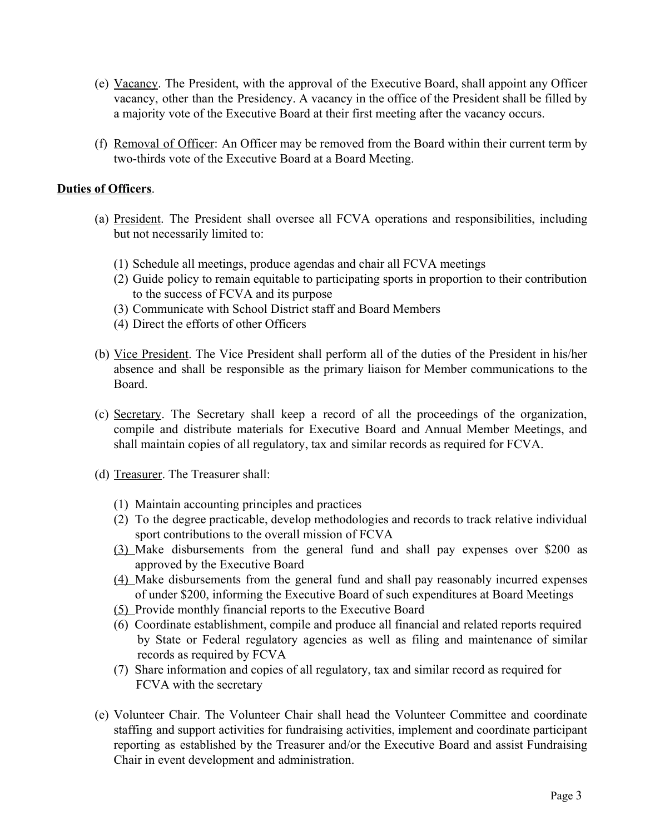- (e) Vacancy. The President, with the approval of the Executive Board, shall appoint any Officer vacancy, other than the Presidency. A vacancy in the office of the President shall be filled by a majority vote of the Executive Board at their first meeting after the vacancy occurs.
- (f) Removal of Officer: An Officer may be removed from the Board within their current term by two-thirds vote of the Executive Board at a Board Meeting.

### **Duties of Officers**.

- (a) President. The President shall oversee all FCVA operations and responsibilities, including but not necessarily limited to:
	- (1) Schedule all meetings, produce agendas and chair all FCVA meetings
	- (2) Guide policy to remain equitable to participating sports in proportion to their contribution to the success of FCVA and its purpose
	- (3) Communicate with School District staff and Board Members
	- (4) Direct the efforts of other Officers
- (b) Vice President. The Vice President shall perform all of the duties of the President in his/her absence and shall be responsible as the primary liaison for Member communications to the Board.
- (c) Secretary. The Secretary shall keep a record of all the proceedings of the organization, compile and distribute materials for Executive Board and Annual Member Meetings, and shall maintain copies of all regulatory, tax and similar records as required for FCVA.
- (d) Treasurer. The Treasurer shall:
	- (1) Maintain accounting principles and practices
	- (2) To the degree practicable, develop methodologies and records to track relative individual sport contributions to the overall mission of FCVA
	- (3) Make disbursements from the general fund and shall pay expenses over \$200 as approved by the Executive Board
	- (4) Make disbursements from the general fund and shall pay reasonably incurred expenses of under \$200, informing the Executive Board of such expenditures at Board Meetings
	- (5) Provide monthly financial reports to the Executive Board
	- (6) Coordinate establishment, compile and produce all financial and related reports required by State or Federal regulatory agencies as well as filing and maintenance of similar records as required by FCVA
	- (7) Share information and copies of all regulatory, tax and similar record as required for FCVA with the secretary
- (e) Volunteer Chair. The Volunteer Chair shall head the Volunteer Committee and coordinate staffing and support activities for fundraising activities, implement and coordinate participant reporting as established by the Treasurer and/or the Executive Board and assist Fundraising Chair in event development and administration.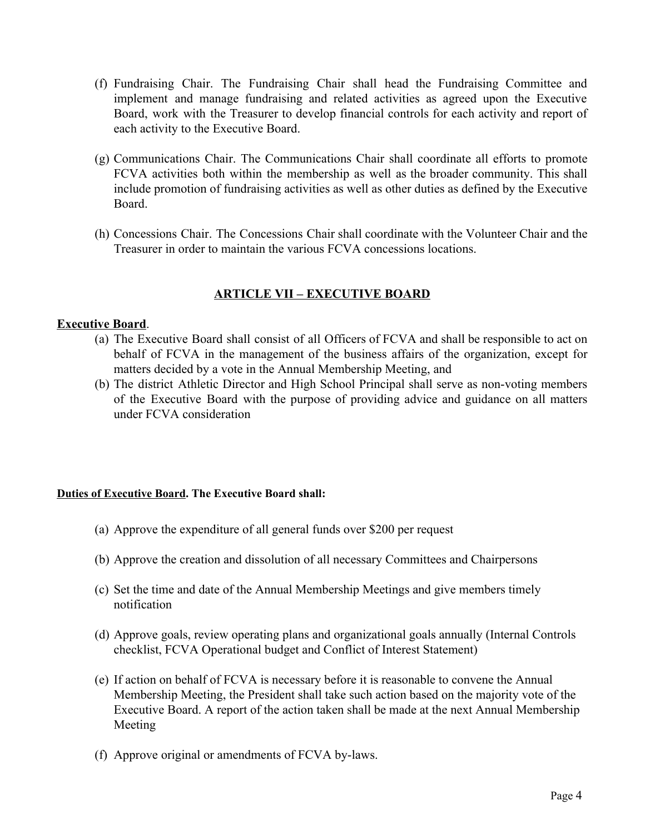- (f) Fundraising Chair. The Fundraising Chair shall head the Fundraising Committee and implement and manage fundraising and related activities as agreed upon the Executive Board, work with the Treasurer to develop financial controls for each activity and report of each activity to the Executive Board.
- (g) Communications Chair. The Communications Chair shall coordinate all efforts to promote FCVA activities both within the membership as well as the broader community. This shall include promotion of fundraising activities as well as other duties as defined by the Executive Board.
- (h) Concessions Chair. The Concessions Chair shall coordinate with the Volunteer Chair and the Treasurer in order to maintain the various FCVA concessions locations.

### **ARTICLE VII – EXECUTIVE BOARD**

#### **Executive Board**.

- (a) The Executive Board shall consist of all Officers of FCVA and shall be responsible to act on behalf of FCVA in the management of the business affairs of the organization, except for matters decided by a vote in the Annual Membership Meeting, and
- (b) The district Athletic Director and High School Principal shall serve as non-voting members of the Executive Board with the purpose of providing advice and guidance on all matters under FCVA consideration

#### **Duties of Executive Board. The Executive Board shall:**

- (a) Approve the expenditure of all general funds over \$200 per request
- (b) Approve the creation and dissolution of all necessary Committees and Chairpersons
- (c) Set the time and date of the Annual Membership Meetings and give members timely notification
- (d) Approve goals, review operating plans and organizational goals annually (Internal Controls checklist, FCVA Operational budget and Conflict of Interest Statement)
- (e) If action on behalf of FCVA is necessary before it is reasonable to convene the Annual Membership Meeting, the President shall take such action based on the majority vote of the Executive Board. A report of the action taken shall be made at the next Annual Membership Meeting
- (f) Approve original or amendments of FCVA by-laws.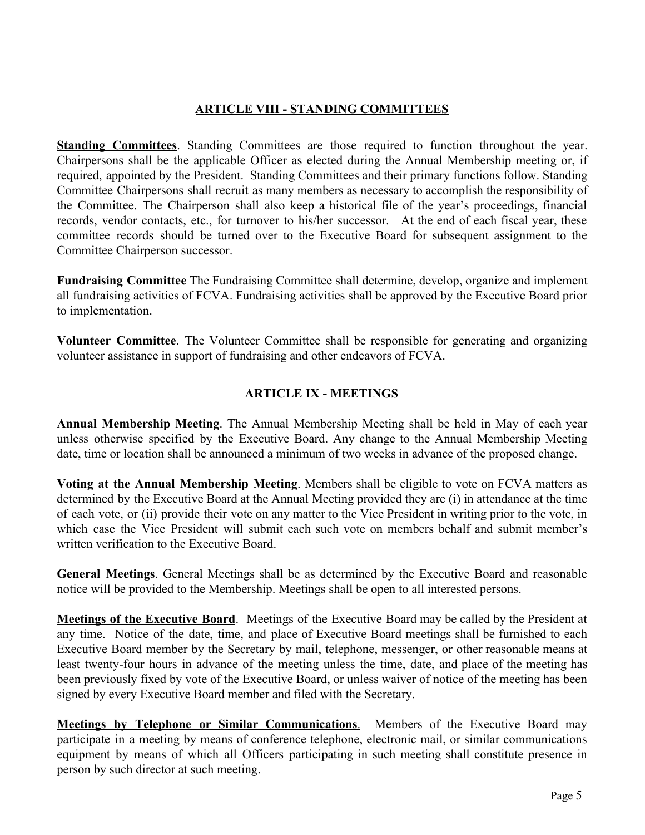# **ARTICLE VIII - STANDING COMMITTEES**

**Standing Committees**. Standing Committees are those required to function throughout the year. Chairpersons shall be the applicable Officer as elected during the Annual Membership meeting or, if required, appointed by the President. Standing Committees and their primary functions follow. Standing Committee Chairpersons shall recruit as many members as necessary to accomplish the responsibility of the Committee. The Chairperson shall also keep a historical file of the year's proceedings, financial records, vendor contacts, etc., for turnover to his/her successor. At the end of each fiscal year, these committee records should be turned over to the Executive Board for subsequent assignment to the Committee Chairperson successor.

**Fundraising Committee** The Fundraising Committee shall determine, develop, organize and implement all fundraising activities of FCVA. Fundraising activities shall be approved by the Executive Board prior to implementation.

**Volunteer Committee**. The Volunteer Committee shall be responsible for generating and organizing volunteer assistance in support of fundraising and other endeavors of FCVA.

# **ARTICLE IX - MEETINGS**

**Annual Membership Meeting**. The Annual Membership Meeting shall be held in May of each year unless otherwise specified by the Executive Board. Any change to the Annual Membership Meeting date, time or location shall be announced a minimum of two weeks in advance of the proposed change.

**Voting at the Annual Membership Meeting**. Members shall be eligible to vote on FCVA matters as determined by the Executive Board at the Annual Meeting provided they are (i) in attendance at the time of each vote, or (ii) provide their vote on any matter to the Vice President in writing prior to the vote, in which case the Vice President will submit each such vote on members behalf and submit member's written verification to the Executive Board.

**General Meetings**. General Meetings shall be as determined by the Executive Board and reasonable notice will be provided to the Membership. Meetings shall be open to all interested persons.

**Meetings of the Executive Board**. Meetings of the Executive Board may be called by the President at any time. Notice of the date, time, and place of Executive Board meetings shall be furnished to each Executive Board member by the Secretary by mail, telephone, messenger, or other reasonable means at least twenty-four hours in advance of the meeting unless the time, date, and place of the meeting has been previously fixed by vote of the Executive Board, or unless waiver of notice of the meeting has been signed by every Executive Board member and filed with the Secretary.

**Meetings by Telephone or Similar Communications**. Members of the Executive Board may participate in a meeting by means of conference telephone, electronic mail, or similar communications equipment by means of which all Officers participating in such meeting shall constitute presence in person by such director at such meeting.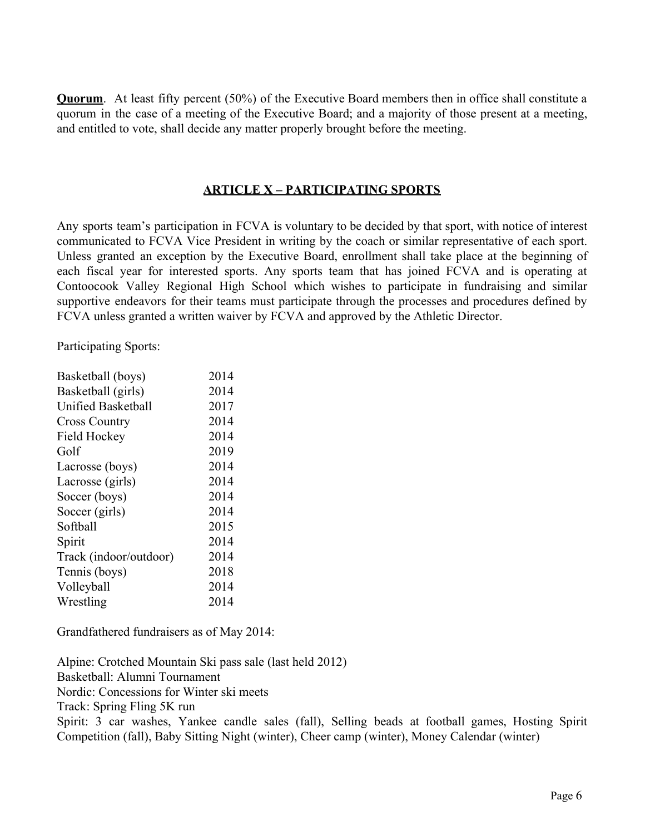**Quorum.** At least fifty percent (50%) of the Executive Board members then in office shall constitute a quorum in the case of a meeting of the Executive Board; and a majority of those present at a meeting, and entitled to vote, shall decide any matter properly brought before the meeting.

#### **ARTICLE X – PARTICIPATING SPORTS**

Any sports team's participation in FCVA is voluntary to be decided by that sport, with notice of interest communicated to FCVA Vice President in writing by the coach or similar representative of each sport. Unless granted an exception by the Executive Board, enrollment shall take place at the beginning of each fiscal year for interested sports. Any sports team that has joined FCVA and is operating at Contoocook Valley Regional High School which wishes to participate in fundraising and similar supportive endeavors for their teams must participate through the processes and procedures defined by FCVA unless granted a written waiver by FCVA and approved by the Athletic Director.

Participating Sports:

| Basketball (boys)      | 2014 |
|------------------------|------|
| Basketball (girls)     | 2014 |
| Unified Basketball     | 2017 |
| <b>Cross Country</b>   | 2014 |
| Field Hockey           | 2014 |
| Golf                   | 2019 |
| Lacrosse (boys)        | 2014 |
| Lacrosse (girls)       | 2014 |
| Soccer (boys)          | 2014 |
| Soccer (girls)         | 2014 |
| Softball               | 2015 |
| Spirit                 | 2014 |
| Track (indoor/outdoor) | 2014 |
| Tennis (boys)          | 2018 |
| Volleyball             | 2014 |
| Wrestling              | 2014 |
|                        |      |

Grandfathered fundraisers as of May 2014:

Alpine: Crotched Mountain Ski pass sale (last held 2012) Basketball: Alumni Tournament Nordic: Concessions for Winter ski meets Track: Spring Fling 5K run Spirit: 3 car washes, Yankee candle sales (fall), Selling beads at football games, Hosting Spirit Competition (fall), Baby Sitting Night (winter), Cheer camp (winter), Money Calendar (winter)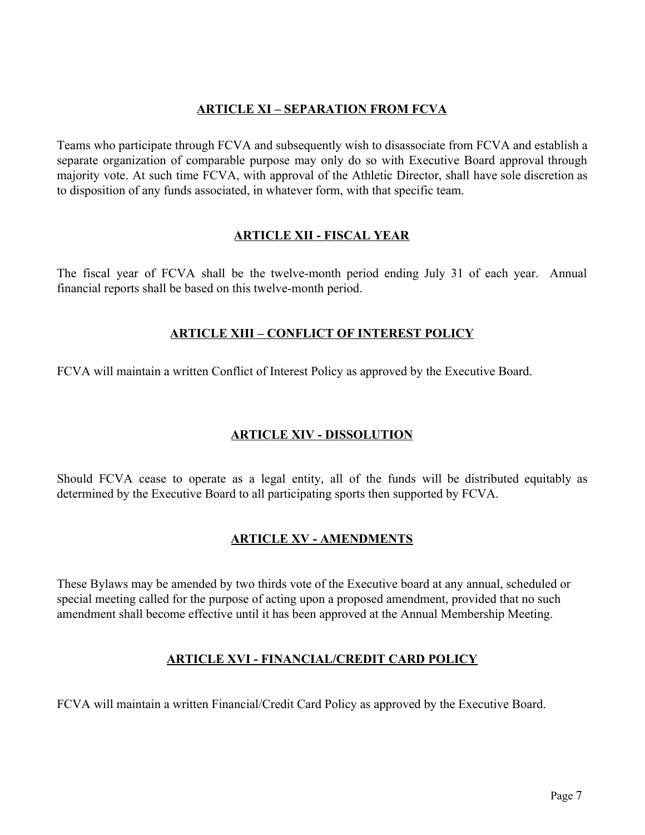### **ARTICLE XI – SEPARATION FROM FCVA**

Teams who participate through FCVA and subsequently wish to disassociate from FCVA and establish a separate organization of comparable purpose may only do so with Executive Board approval through majority vote. At such time FCVA, with approval of the Athletic Director, shall have sole discretion as to disposition of any funds associated, in whatever form, with that specific team.

### **ARTICLE XII - FISCAL YEAR**

The fiscal year of FCVA shall be the twelve-month period ending July 31 of each year. Annual financial reports shall be based on this twelve-month period.

# **ARTICLE XIII – CONFLICT OF INTEREST POLICY**

FCVA will maintain a written Conflict of Interest Policy as approved by the Executive Board.

### **ARTICLE XIV - DISSOLUTION**

Should FCVA cease to operate as a legal entity, all of the funds will be distributed equitably as determined by the Executive Board to all participating sports then supported by FCVA.

# **ARTICLE XV - AMENDMENTS**

These Bylaws may be amended by two thirds vote of the Executive board at any annual, scheduled or special meeting called for the purpose of acting upon a proposed amendment, provided that no such amendment shall become effective until it has been approved at the Annual Membership Meeting.

# **ARTICLE XVI - FINANCIAL/CREDIT CARD POLICY**

FCVA will maintain a written Financial/Credit Card Policy as approved by the Executive Board.